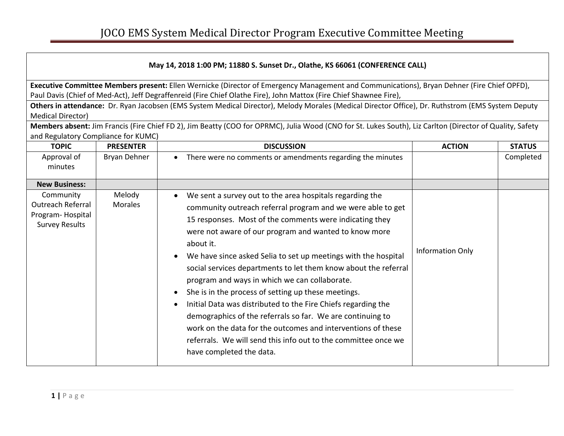| May 14, 2018 1:00 PM; 11880 S. Sunset Dr., Olathe, KS 66061 (CONFERENCE CALL)                                                                                                                                                                                    |                          |                                                                                                                                                                                                                                                                                                                                                                                                                                                                                                                                                                                                                                                                                                                                                                                                                                           |                  |               |
|------------------------------------------------------------------------------------------------------------------------------------------------------------------------------------------------------------------------------------------------------------------|--------------------------|-------------------------------------------------------------------------------------------------------------------------------------------------------------------------------------------------------------------------------------------------------------------------------------------------------------------------------------------------------------------------------------------------------------------------------------------------------------------------------------------------------------------------------------------------------------------------------------------------------------------------------------------------------------------------------------------------------------------------------------------------------------------------------------------------------------------------------------------|------------------|---------------|
| Executive Committee Members present: Ellen Wernicke (Director of Emergency Management and Communications), Bryan Dehner (Fire Chief OPFD),<br>Paul Davis (Chief of Med-Act), Jeff Degraffenreid (Fire Chief Olathe Fire), John Mattox (Fire Chief Shawnee Fire), |                          |                                                                                                                                                                                                                                                                                                                                                                                                                                                                                                                                                                                                                                                                                                                                                                                                                                           |                  |               |
| Others in attendance: Dr. Ryan Jacobsen (EMS System Medical Director), Melody Morales (Medical Director Office), Dr. Ruthstrom (EMS System Deputy<br><b>Medical Director)</b>                                                                                    |                          |                                                                                                                                                                                                                                                                                                                                                                                                                                                                                                                                                                                                                                                                                                                                                                                                                                           |                  |               |
|                                                                                                                                                                                                                                                                  |                          | Members absent: Jim Francis (Fire Chief FD 2), Jim Beatty (COO for OPRMC), Julia Wood (CNO for St. Lukes South), Liz Carlton (Director of Quality, Safety                                                                                                                                                                                                                                                                                                                                                                                                                                                                                                                                                                                                                                                                                 |                  |               |
| and Regulatory Compliance for KUMC)                                                                                                                                                                                                                              |                          |                                                                                                                                                                                                                                                                                                                                                                                                                                                                                                                                                                                                                                                                                                                                                                                                                                           |                  |               |
| <b>TOPIC</b>                                                                                                                                                                                                                                                     | <b>PRESENTER</b>         | <b>DISCUSSION</b>                                                                                                                                                                                                                                                                                                                                                                                                                                                                                                                                                                                                                                                                                                                                                                                                                         | <b>ACTION</b>    | <b>STATUS</b> |
| Approval of<br>minutes                                                                                                                                                                                                                                           | Bryan Dehner             | There were no comments or amendments regarding the minutes<br>$\bullet$                                                                                                                                                                                                                                                                                                                                                                                                                                                                                                                                                                                                                                                                                                                                                                   |                  | Completed     |
| <b>New Business:</b>                                                                                                                                                                                                                                             |                          |                                                                                                                                                                                                                                                                                                                                                                                                                                                                                                                                                                                                                                                                                                                                                                                                                                           |                  |               |
| Community<br><b>Outreach Referral</b><br>Program-Hospital<br><b>Survey Results</b>                                                                                                                                                                               | Melody<br><b>Morales</b> | We sent a survey out to the area hospitals regarding the<br>community outreach referral program and we were able to get<br>15 responses. Most of the comments were indicating they<br>were not aware of our program and wanted to know more<br>about it.<br>We have since asked Selia to set up meetings with the hospital<br>$\bullet$<br>social services departments to let them know about the referral<br>program and ways in which we can collaborate.<br>She is in the process of setting up these meetings.<br>$\bullet$<br>Initial Data was distributed to the Fire Chiefs regarding the<br>$\bullet$<br>demographics of the referrals so far. We are continuing to<br>work on the data for the outcomes and interventions of these<br>referrals. We will send this info out to the committee once we<br>have completed the data. | Information Only |               |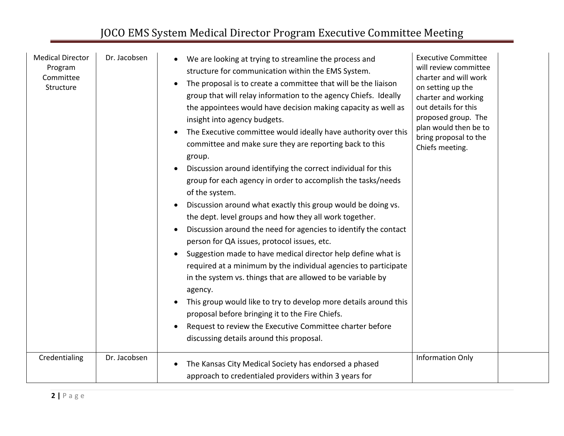| <b>Medical Director</b><br>Program<br>Committee<br>Structure | Dr. Jacobsen | We are looking at trying to streamline the process and<br>structure for communication within the EMS System.<br>The proposal is to create a committee that will be the liaison<br>$\bullet$<br>group that will relay information to the agency Chiefs. Ideally<br>the appointees would have decision making capacity as well as<br>insight into agency budgets.<br>The Executive committee would ideally have authority over this<br>$\bullet$<br>committee and make sure they are reporting back to this<br>group.<br>Discussion around identifying the correct individual for this<br>$\bullet$<br>group for each agency in order to accomplish the tasks/needs<br>of the system.<br>Discussion around what exactly this group would be doing vs.<br>the dept. level groups and how they all work together.<br>Discussion around the need for agencies to identify the contact<br>$\bullet$<br>person for QA issues, protocol issues, etc.<br>Suggestion made to have medical director help define what is<br>required at a minimum by the individual agencies to participate<br>in the system vs. things that are allowed to be variable by<br>agency.<br>This group would like to try to develop more details around this<br>proposal before bringing it to the Fire Chiefs.<br>Request to review the Executive Committee charter before<br>$\bullet$<br>discussing details around this proposal. | <b>Executive Committee</b><br>will review committee<br>charter and will work<br>on setting up the<br>charter and working<br>out details for this<br>proposed group. The<br>plan would then be to<br>bring proposal to the<br>Chiefs meeting. |  |
|--------------------------------------------------------------|--------------|-------------------------------------------------------------------------------------------------------------------------------------------------------------------------------------------------------------------------------------------------------------------------------------------------------------------------------------------------------------------------------------------------------------------------------------------------------------------------------------------------------------------------------------------------------------------------------------------------------------------------------------------------------------------------------------------------------------------------------------------------------------------------------------------------------------------------------------------------------------------------------------------------------------------------------------------------------------------------------------------------------------------------------------------------------------------------------------------------------------------------------------------------------------------------------------------------------------------------------------------------------------------------------------------------------------------------------------------------------------------------------------------------------|----------------------------------------------------------------------------------------------------------------------------------------------------------------------------------------------------------------------------------------------|--|
| Credentialing                                                | Dr. Jacobsen | The Kansas City Medical Society has endorsed a phased<br>$\bullet$<br>approach to credentialed providers within 3 years for                                                                                                                                                                                                                                                                                                                                                                                                                                                                                                                                                                                                                                                                                                                                                                                                                                                                                                                                                                                                                                                                                                                                                                                                                                                                           | <b>Information Only</b>                                                                                                                                                                                                                      |  |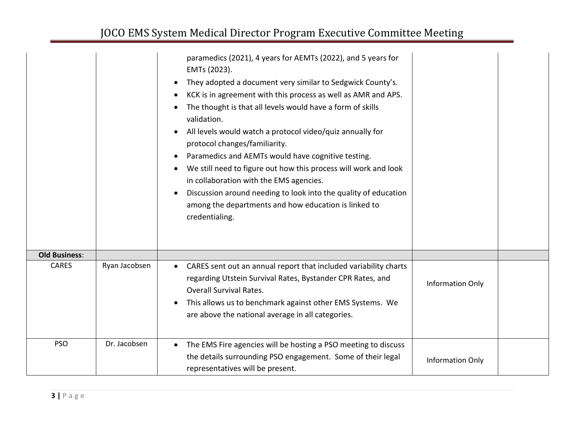|                      |               | paramedics (2021), 4 years for AEMTs (2022), and 5 years for<br>EMTs (2023).<br>They adopted a document very similar to Sedgwick County's.<br>$\bullet$<br>KCK is in agreement with this process as well as AMR and APS.<br>$\bullet$<br>The thought is that all levels would have a form of skills<br>validation.<br>All levels would watch a protocol video/quiz annually for<br>protocol changes/familiarity.<br>Paramedics and AEMTs would have cognitive testing.<br>$\bullet$<br>We still need to figure out how this process will work and look<br>in collaboration with the EMS agencies.<br>Discussion around needing to look into the quality of education<br>among the departments and how education is linked to<br>credentialing. |                         |  |
|----------------------|---------------|------------------------------------------------------------------------------------------------------------------------------------------------------------------------------------------------------------------------------------------------------------------------------------------------------------------------------------------------------------------------------------------------------------------------------------------------------------------------------------------------------------------------------------------------------------------------------------------------------------------------------------------------------------------------------------------------------------------------------------------------|-------------------------|--|
| <b>Old Business:</b> |               |                                                                                                                                                                                                                                                                                                                                                                                                                                                                                                                                                                                                                                                                                                                                                |                         |  |
| <b>CARES</b>         | Ryan Jacobsen | CARES sent out an annual report that included variability charts<br>$\bullet$<br>regarding Utstein Survival Rates, Bystander CPR Rates, and<br><b>Overall Survival Rates.</b><br>This allows us to benchmark against other EMS Systems. We<br>$\bullet$<br>are above the national average in all categories.                                                                                                                                                                                                                                                                                                                                                                                                                                   | <b>Information Only</b> |  |
| <b>PSO</b>           | Dr. Jacobsen  | The EMS Fire agencies will be hosting a PSO meeting to discuss<br>$\bullet$<br>the details surrounding PSO engagement. Some of their legal<br>representatives will be present.                                                                                                                                                                                                                                                                                                                                                                                                                                                                                                                                                                 | <b>Information Only</b> |  |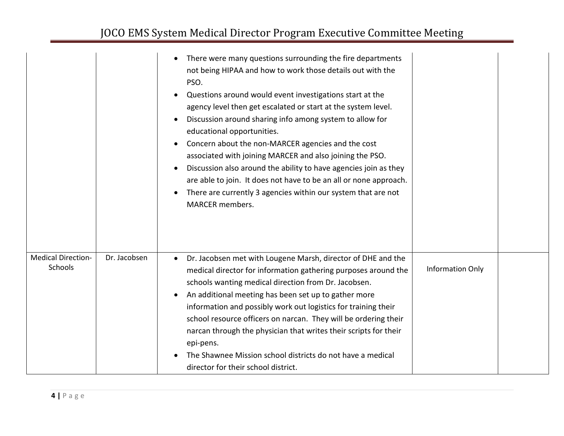|                                             |              | There were many questions surrounding the fire departments<br>$\bullet$<br>not being HIPAA and how to work those details out with the<br>PSO.<br>Questions around would event investigations start at the<br>$\bullet$<br>agency level then get escalated or start at the system level.<br>Discussion around sharing info among system to allow for<br>$\bullet$<br>educational opportunities.<br>Concern about the non-MARCER agencies and the cost<br>$\bullet$<br>associated with joining MARCER and also joining the PSO.<br>Discussion also around the ability to have agencies join as they<br>$\bullet$<br>are able to join. It does not have to be an all or none approach.<br>There are currently 3 agencies within our system that are not<br><b>MARCER</b> members. |                         |  |
|---------------------------------------------|--------------|--------------------------------------------------------------------------------------------------------------------------------------------------------------------------------------------------------------------------------------------------------------------------------------------------------------------------------------------------------------------------------------------------------------------------------------------------------------------------------------------------------------------------------------------------------------------------------------------------------------------------------------------------------------------------------------------------------------------------------------------------------------------------------|-------------------------|--|
| <b>Medical Direction-</b><br><b>Schools</b> | Dr. Jacobsen | Dr. Jacobsen met with Lougene Marsh, director of DHE and the<br>$\bullet$<br>medical director for information gathering purposes around the<br>schools wanting medical direction from Dr. Jacobsen.<br>An additional meeting has been set up to gather more<br>$\bullet$<br>information and possibly work out logistics for training their<br>school resource officers on narcan. They will be ordering their<br>narcan through the physician that writes their scripts for their<br>epi-pens.<br>The Shawnee Mission school districts do not have a medical<br>director for their school district.                                                                                                                                                                            | <b>Information Only</b> |  |